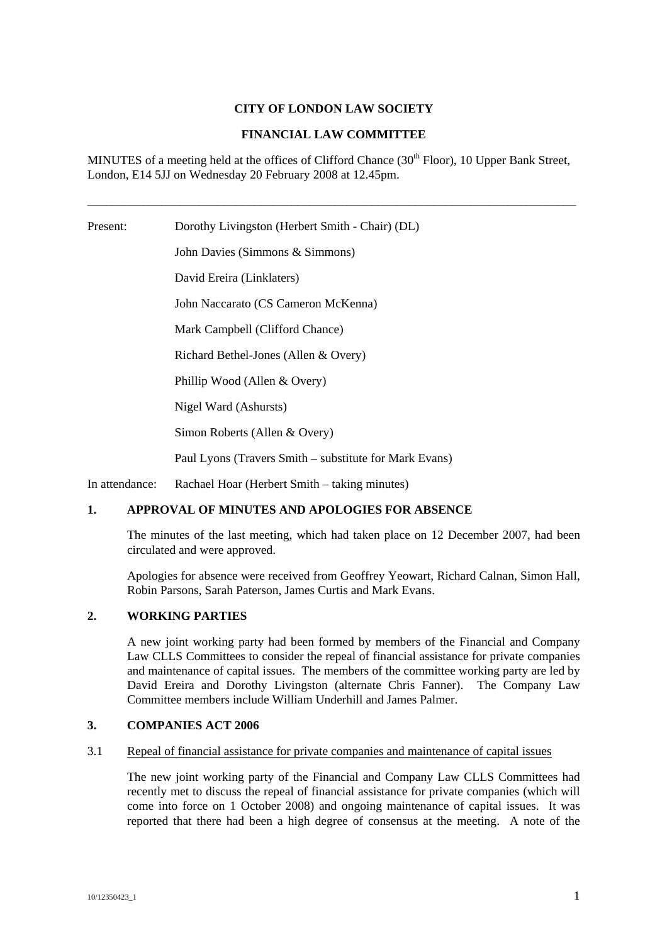### **CITY OF LONDON LAW SOCIETY**

### **FINANCIAL LAW COMMITTEE**

MINUTES of a meeting held at the offices of Clifford Chance  $(30<sup>th</sup>$  Floor), 10 Upper Bank Street, London, E14 5JJ on Wednesday 20 February 2008 at 12.45pm.

\_\_\_\_\_\_\_\_\_\_\_\_\_\_\_\_\_\_\_\_\_\_\_\_\_\_\_\_\_\_\_\_\_\_\_\_\_\_\_\_\_\_\_\_\_\_\_\_\_\_\_\_\_\_\_\_\_\_\_\_\_\_\_\_\_\_\_\_\_\_\_\_\_\_\_\_\_\_\_

Present: Dorothy Livingston (Herbert Smith - Chair) (DL) John Davies (Simmons & Simmons) David Ereira (Linklaters) John Naccarato (CS Cameron McKenna) Mark Campbell (Clifford Chance) Richard Bethel-Jones (Allen & Overy) Phillip Wood (Allen & Overy) Nigel Ward (Ashursts) Simon Roberts (Allen & Overy) Paul Lyons (Travers Smith – substitute for Mark Evans) In attendance: Rachael Hoar (Herbert Smith – taking minutes)

### **1. APPROVAL OF MINUTES AND APOLOGIES FOR ABSENCE**

The minutes of the last meeting, which had taken place on 12 December 2007, had been circulated and were approved.

Apologies for absence were received from Geoffrey Yeowart, Richard Calnan, Simon Hall, Robin Parsons, Sarah Paterson, James Curtis and Mark Evans.

# **2. WORKING PARTIES**

A new joint working party had been formed by members of the Financial and Company Law CLLS Committees to consider the repeal of financial assistance for private companies and maintenance of capital issues. The members of the committee working party are led by David Ereira and Dorothy Livingston (alternate Chris Fanner). The Company Law Committee members include William Underhill and James Palmer.

#### **3. COMPANIES ACT 2006**

#### 3.1 Repeal of financial assistance for private companies and maintenance of capital issues

The new joint working party of the Financial and Company Law CLLS Committees had recently met to discuss the repeal of financial assistance for private companies (which will come into force on 1 October 2008) and ongoing maintenance of capital issues. It was reported that there had been a high degree of consensus at the meeting. A note of the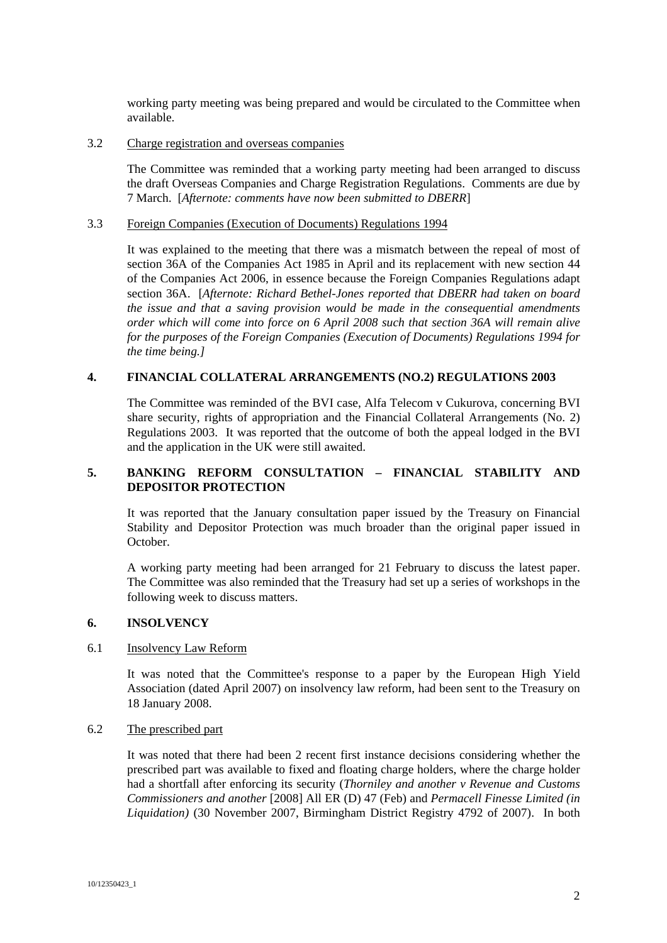working party meeting was being prepared and would be circulated to the Committee when available.

#### 3.2 Charge registration and overseas companies

The Committee was reminded that a working party meeting had been arranged to discuss the draft Overseas Companies and Charge Registration Regulations. Comments are due by 7 March. [*Afternote: comments have now been submitted to DBERR*]

# 3.3 Foreign Companies (Execution of Documents) Regulations 1994

It was explained to the meeting that there was a mismatch between the repeal of most of section 36A of the Companies Act 1985 in April and its replacement with new section 44 of the Companies Act 2006, in essence because the Foreign Companies Regulations adapt section 36A. [*Afternote: Richard Bethel-Jones reported that DBERR had taken on board the issue and that a saving provision would be made in the consequential amendments order which will come into force on 6 April 2008 such that section 36A will remain alive for the purposes of the Foreign Companies (Execution of Documents) Regulations 1994 for the time being.]*

### **4. FINANCIAL COLLATERAL ARRANGEMENTS (NO.2) REGULATIONS 2003**

The Committee was reminded of the BVI case, Alfa Telecom v Cukurova, concerning BVI share security, rights of appropriation and the Financial Collateral Arrangements (No. 2) Regulations 2003. It was reported that the outcome of both the appeal lodged in the BVI and the application in the UK were still awaited.

# **5. BANKING REFORM CONSULTATION – FINANCIAL STABILITY AND DEPOSITOR PROTECTION**

It was reported that the January consultation paper issued by the Treasury on Financial Stability and Depositor Protection was much broader than the original paper issued in October.

A working party meeting had been arranged for 21 February to discuss the latest paper. The Committee was also reminded that the Treasury had set up a series of workshops in the following week to discuss matters.

### **6. INSOLVENCY**

#### 6.1 Insolvency Law Reform

It was noted that the Committee's response to a paper by the European High Yield Association (dated April 2007) on insolvency law reform, had been sent to the Treasury on 18 January 2008.

#### 6.2 The prescribed part

It was noted that there had been 2 recent first instance decisions considering whether the prescribed part was available to fixed and floating charge holders, where the charge holder had a shortfall after enforcing its security (*Thorniley and another v Revenue and Customs Commissioners and another* [2008] All ER (D) 47 (Feb) and *Permacell Finesse Limited (in Liquidation)* (30 November 2007, Birmingham District Registry 4792 of 2007). In both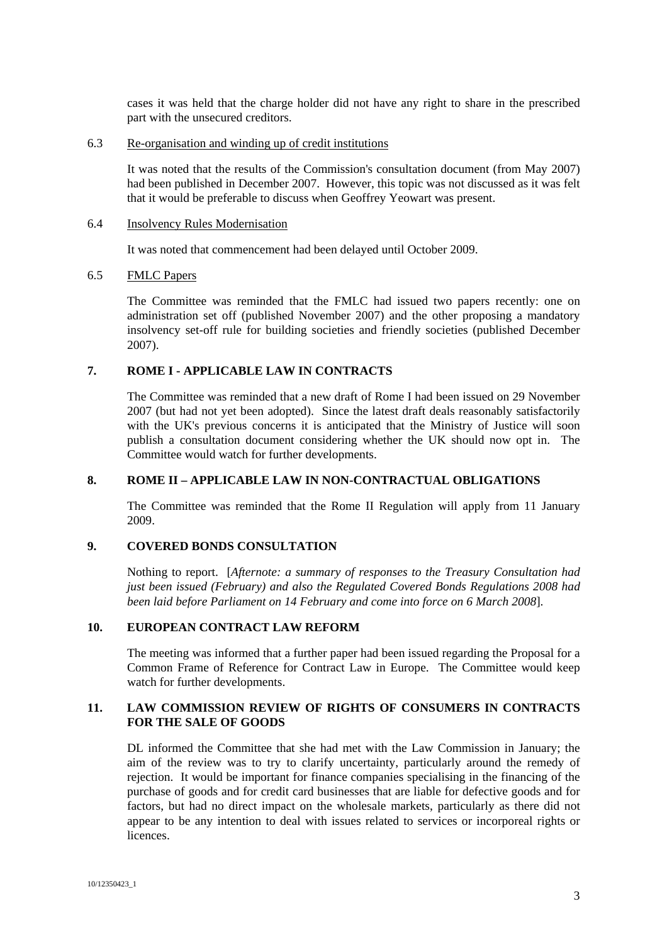cases it was held that the charge holder did not have any right to share in the prescribed part with the unsecured creditors.

#### 6.3 Re-organisation and winding up of credit institutions

It was noted that the results of the Commission's consultation document (from May 2007) had been published in December 2007. However, this topic was not discussed as it was felt that it would be preferable to discuss when Geoffrey Yeowart was present.

### 6.4 Insolvency Rules Modernisation

It was noted that commencement had been delayed until October 2009.

# 6.5 FMLC Papers

The Committee was reminded that the FMLC had issued two papers recently: one on administration set off (published November 2007) and the other proposing a mandatory insolvency set-off rule for building societies and friendly societies (published December 2007).

### **7. ROME I - APPLICABLE LAW IN CONTRACTS**

The Committee was reminded that a new draft of Rome I had been issued on 29 November 2007 (but had not yet been adopted). Since the latest draft deals reasonably satisfactorily with the UK's previous concerns it is anticipated that the Ministry of Justice will soon publish a consultation document considering whether the UK should now opt in. The Committee would watch for further developments.

#### **8. ROME II – APPLICABLE LAW IN NON-CONTRACTUAL OBLIGATIONS**

The Committee was reminded that the Rome II Regulation will apply from 11 January 2009.

# **9. COVERED BONDS CONSULTATION**

Nothing to report. [*Afternote: a summary of responses to the Treasury Consultation had just been issued (February) and also the Regulated Covered Bonds Regulations 2008 had been laid before Parliament on 14 February and come into force on 6 March 2008*].

#### **10. EUROPEAN CONTRACT LAW REFORM**

The meeting was informed that a further paper had been issued regarding the Proposal for a Common Frame of Reference for Contract Law in Europe. The Committee would keep watch for further developments.

# **11. LAW COMMISSION REVIEW OF RIGHTS OF CONSUMERS IN CONTRACTS FOR THE SALE OF GOODS**

DL informed the Committee that she had met with the Law Commission in January; the aim of the review was to try to clarify uncertainty, particularly around the remedy of rejection. It would be important for finance companies specialising in the financing of the purchase of goods and for credit card businesses that are liable for defective goods and for factors, but had no direct impact on the wholesale markets, particularly as there did not appear to be any intention to deal with issues related to services or incorporeal rights or licences.